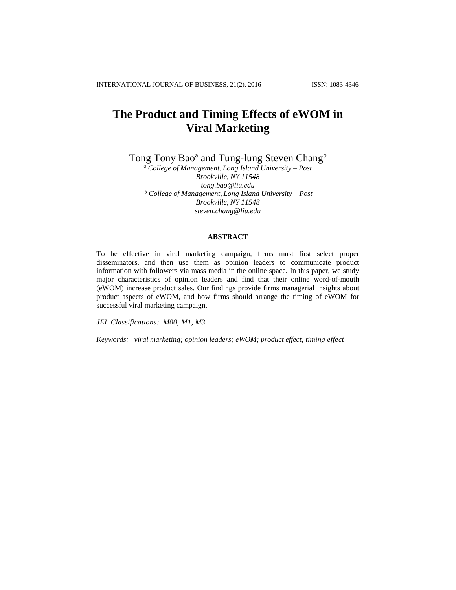# **The Product and Timing Effects of eWOM in Viral Marketing**

Tong Tony Bao<sup>a</sup> and Tung-lung Steven Chang<sup>b</sup>

*<sup>a</sup> College of Management, Long Island University – Post Brookville, NY 11548 [tong.bao@liu.edu](mailto:tong.bao@liu.edu) <sup>b</sup> College of Management, Long Island University – Post Brookville, NY 11548 [steven.chang@liu.edu](mailto:steven.chang@liu.edu)*

## **ABSTRACT**

To be effective in viral marketing campaign, firms must first select proper disseminators, and then use them as opinion leaders to communicate product information with followers via mass media in the online space. In this paper, we study major characteristics of opinion leaders and find that their online word-of-mouth (eWOM) increase product sales. Our findings provide firms managerial insights about product aspects of eWOM, and how firms should arrange the timing of eWOM for successful viral marketing campaign.

*JEL Classifications: M00, M1, M3*

*Keywords: viral marketing; opinion leaders; eWOM; product effect; timing effect*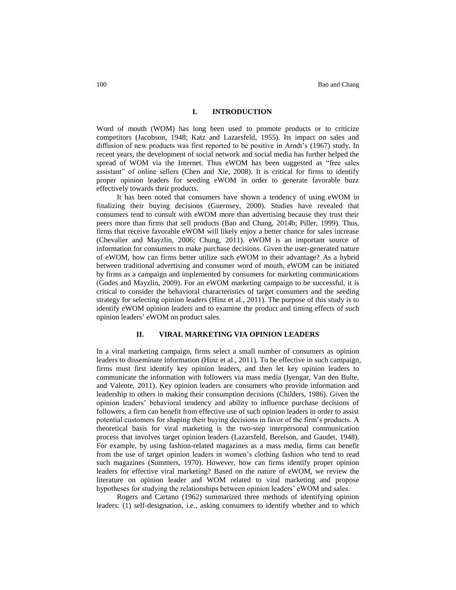# **I. INTRODUCTION**

Word of mouth (WOM) has long been used to promote products or to criticize competitors (Jacobson, 1948; Katz and Lazarsfeld, 1955). Its impact on sales and diffusion of new products was first reported to be positive in Arndt's (1967) study. In recent years, the development of social network and social media has further helped the spread of WOM via the Internet. Thus eWOM has been suggested as "free sales assistant" of online sellers (Chen and Xie, 2008). It is critical for firms to identify proper opinion leaders for seeding eWOM in order to generate favorable buzz effectively towards their products.

It has been noted that consumers have shown a tendency of using eWOM in finalizing their buying decisions (Guernsey, 2000). Studies have revealed that consumers tend to consult with eWOM more than advertising because they trust their peers more than firms that sell products (Bao and Chang, 2014b; Piller, 1999). Thus, firms that receive favorable eWOM will likely enjoy a better chance for sales increase (Chevalier and Mayzlin, 2006; Chung, 2011). eWOM is an important source of information for consumers to make purchase decisions. Given the user-generated nature of eWOM, how can firms better utilize such eWOM to their advantage? As a hybrid between traditional advertising and consumer word of mouth, eWOM can be initiated by firms as a campaign and implemented by consumers for marketing communications (Godes and Mayzlin, 2009). For an eWOM marketing campaign to be successful, it is critical to consider the behavioral characteristics of target consumers and the seeding strategy for selecting opinion leaders (Hinz et al., 2011). The purpose of this study is to identify eWOM opinion leaders and to examine the product and timing effects of such opinion leaders' eWOM on product sales.

## **II. VIRAL MARKETING VIA OPINION LEADERS**

In a viral marketing campaign, firms select a small number of consumers as opinion leaders to disseminate information (Hinz et al., 2011). To be effective in such campaign, firms must first identify key opinion leaders, and then let key opinion leaders to communicate the information with followers via mass media (Iyengar, Van den Bulte, and Valente, 2011). Key opinion leaders are consumers who provide information and leadership to others in making their consumption decisions (Childers, 1986). Given the opinion leaders' behavioral tendency and ability to influence purchase decisions of followers, a firm can benefit from effective use of such opinion leaders in order to assist potential customers for shaping their buying decisions in favor of the firm's products. A theoretical basis for viral marketing is the two-step interpersonal communication process that involves target opinion leaders (Lazarsfeld, Berelson, and Gaudet, 1948). For example, by using fashion-related magazines as a mass media, firms can benefit from the use of target opinion leaders in women's clothing fashion who tend to read such magazines (Summers, 1970). However, how can firms identify proper opinion leaders for effective viral marketing? Based on the nature of eWOM, we review the literature on opinion leader and WOM related to viral marketing and propose hypotheses for studying the relationships between opinion leaders' eWOM and sales.

Rogers and Cartano (1962) summarized three methods of identifying opinion leaders: (1) self-designation, i.e., asking consumers to identify whether and to which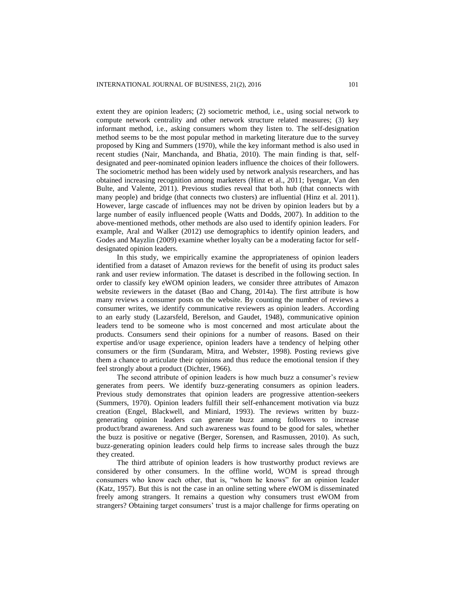extent they are opinion leaders; (2) sociometric method, i.e., using social network to compute network centrality and other network structure related measures; (3) key informant method, i.e., asking consumers whom they listen to. The self-designation method seems to be the most popular method in marketing literature due to the survey proposed by King and Summers (1970), while the key informant method is also used in recent studies (Nair, Manchanda, and Bhatia, 2010). The main finding is that, selfdesignated and peer-nominated opinion leaders influence the choices of their followers. The sociometric method has been widely used by network analysis researchers, and has obtained increasing recognition among marketers (Hinz et al., 2011; Iyengar, Van den Bulte, and Valente, 2011). Previous studies reveal that both hub (that connects with many people) and bridge (that connects two clusters) are influential (Hinz et al. 2011). However, large cascade of influences may not be driven by opinion leaders but by a large number of easily influenced people (Watts and Dodds, 2007). In addition to the above-mentioned methods, other methods are also used to identify opinion leaders. For example, Aral and Walker (2012) use demographics to identify opinion leaders, and Godes and Mayzlin (2009) examine whether loyalty can be a moderating factor for selfdesignated opinion leaders.

In this study, we empirically examine the appropriateness of opinion leaders identified from a dataset of Amazon reviews for the benefit of using its product sales rank and user review information. The dataset is described in the following section. In order to classify key eWOM opinion leaders, we consider three attributes of Amazon website reviewers in the dataset (Bao and Chang, 2014a). The first attribute is how many reviews a consumer posts on the website. By counting the number of reviews a consumer writes, we identify communicative reviewers as opinion leaders. According to an early study (Lazarsfeld, Berelson, and Gaudet, 1948), communicative opinion leaders tend to be someone who is most concerned and most articulate about the products. Consumers send their opinions for a number of reasons. Based on their expertise and/or usage experience, opinion leaders have a tendency of helping other consumers or the firm (Sundaram, Mitra, and Webster, 1998). Posting reviews give them a chance to articulate their opinions and thus reduce the emotional tension if they feel strongly about a product (Dichter, 1966).

The second attribute of opinion leaders is how much buzz a consumer's review generates from peers. We identify buzz-generating consumers as opinion leaders. Previous study demonstrates that opinion leaders are progressive attention-seekers (Summers, 1970). Opinion leaders fulfill their self-enhancement motivation via buzz creation (Engel, Blackwell, and Miniard, 1993). The reviews written by buzzgenerating opinion leaders can generate buzz among followers to increase product/brand awareness. And such awareness was found to be good for sales, whether the buzz is positive or negative (Berger, Sorensen, and Rasmussen, 2010). As such, buzz-generating opinion leaders could help firms to increase sales through the buzz they created.

The third attribute of opinion leaders is how trustworthy product reviews are considered by other consumers. In the offline world, WOM is spread through consumers who know each other, that is, "whom he knows" for an opinion leader (Katz, 1957). But this is not the case in an online setting where eWOM is disseminated freely among strangers. It remains a question why consumers trust eWOM from strangers? Obtaining target consumers' trust is a major challenge for firms operating on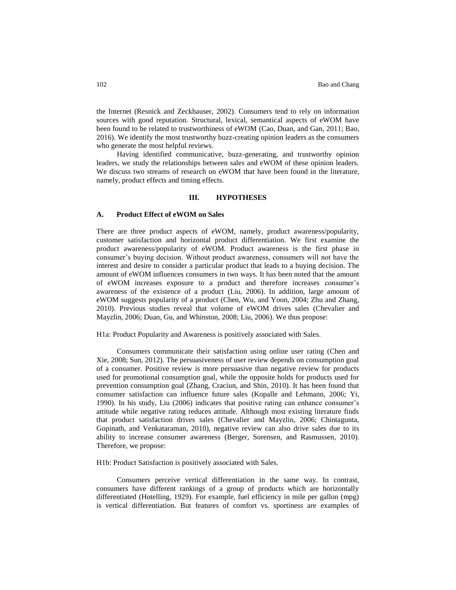the Internet (Resnick and Zeckhauser, 2002). Consumers tend to rely on information sources with good reputation. Structural, lexical, semantical aspects of eWOM have been found to be related to trustworthiness of eWOM (Cao, Duan, and Gan, 2011; Bao, 2016). We identify the most trustworthy buzz-creating opinion leaders as the consumers who generate the most helpful reviews.

Having identified communicative, buzz-generating, and trustworthy opinion leaders, we study the relationships between sales and eWOM of these opinion leaders. We discuss two streams of research on eWOM that have been found in the literature, namely, product effects and timing effects.

# **III. HYPOTHESES**

## **A. Product Effect of eWOM on Sales**

There are three product aspects of eWOM, namely, product awareness/popularity, customer satisfaction and horizontal product differentiation. We first examine the product awareness/popularity of eWOM. Product awareness is the first phase in consumer's buying decision. Without product awareness, consumers will not have the interest and desire to consider a particular product that leads to a buying decision. The amount of eWOM influences consumers in two ways. It has been noted that the amount of eWOM increases exposure to a product and therefore increases consumer's awareness of the existence of a product (Liu, 2006). In addition, large amount of eWOM suggests popularity of a product (Chen, Wu, and Yoon, 2004; Zhu and Zhang, 2010). Previous studies reveal that volume of eWOM drives sales (Chevalier and Mayzlin, 2006; Duan, Gu, and Whinston, 2008; Liu, 2006). We thus propose:

H1a: Product Popularity and Awareness is positively associated with Sales.

Consumers communicate their satisfaction using online user rating (Chen and Xie, 2008; Sun, 2012). The persuasiveness of user review depends on consumption goal of a consumer. Positive review is more persuasive than negative review for products used for promotional consumption goal, while the opposite holds for products used for prevention consumption goal (Zhang, Craciun, and Shin, 2010). It has been found that consumer satisfaction can influence future sales (Kopalle and Lehmann, 2006; Yi, 1990). In his study, Liu (2006) indicates that positive rating can enhance consumer's attitude while negative rating reduces attitude. Although most existing literature finds that product satisfaction drives sales (Chevalier and Mayzlin, 2006; Chintagunta, Gopinath, and Venkataraman, 2010), negative review can also drive sales due to its ability to increase consumer awareness (Berger, Sorensen, and Rasmussen, 2010). Therefore, we propose:

H1b: Product Satisfaction is positively associated with Sales.

Consumers perceive vertical differentiation in the same way. In contrast, consumers have different rankings of a group of products which are horizontally differentiated (Hotelling, 1929). For example, fuel efficiency in mile per gallon (mpg) is vertical differentiation. But features of comfort vs. sportiness are examples of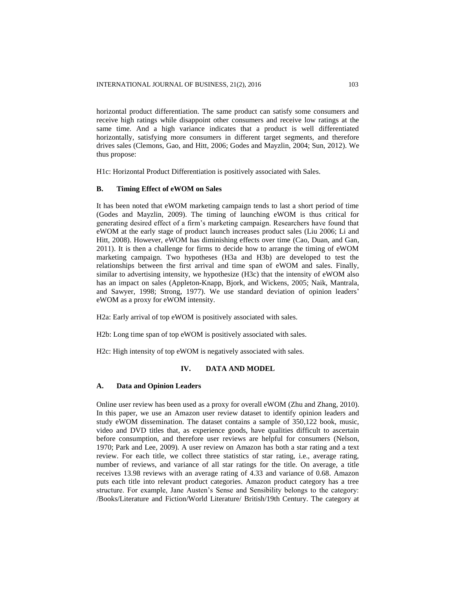horizontal product differentiation. The same product can satisfy some consumers and receive high ratings while disappoint other consumers and receive low ratings at the same time. And a high variance indicates that a product is well differentiated horizontally, satisfying more consumers in different target segments, and therefore drives sales (Clemons, Gao, and Hitt, 2006; Godes and Mayzlin, 2004; Sun, 2012). We thus propose:

H1c: Horizontal Product Differentiation is positively associated with Sales.

# **B. Timing Effect of eWOM on Sales**

It has been noted that eWOM marketing campaign tends to last a short period of time (Godes and Mayzlin, 2009). The timing of launching eWOM is thus critical for generating desired effect of a firm's marketing campaign. Researchers have found that eWOM at the early stage of product launch increases product sales (Liu 2006; Li and Hitt, 2008). However, eWOM has diminishing effects over time (Cao, Duan, and Gan, 2011). It is then a challenge for firms to decide how to arrange the timing of eWOM marketing campaign. Two hypotheses (H3a and H3b) are developed to test the relationships between the first arrival and time span of eWOM and sales. Finally, similar to advertising intensity, we hypothesize (H3c) that the intensity of eWOM also has an impact on sales (Appleton-Knapp, Bjork, and Wickens, 2005; Naik, Mantrala, and Sawyer, 1998; Strong, 1977). We use standard deviation of opinion leaders' eWOM as a proxy for eWOM intensity.

H2a: Early arrival of top eWOM is positively associated with sales.

H2b: Long time span of top eWOM is positively associated with sales.

H2c: High intensity of top eWOM is negatively associated with sales.

# **IV. DATA AND MODEL**

## **A. Data and Opinion Leaders**

Online user review has been used as a proxy for overall eWOM (Zhu and Zhang, 2010). In this paper, we use an Amazon user review dataset to identify opinion leaders and study eWOM dissemination. The dataset contains a sample of 350,122 book, music, video and DVD titles that, as experience goods, have qualities difficult to ascertain before consumption, and therefore user reviews are helpful for consumers (Nelson, 1970; Park and Lee, 2009). A user review on Amazon has both a star rating and a text review. For each title, we collect three statistics of star rating, i.e., average rating, number of reviews, and variance of all star ratings for the title. On average, a title receives 13.98 reviews with an average rating of 4.33 and variance of 0.68. Amazon puts each title into relevant product categories. Amazon product category has a tree structure. For example, Jane Austen's Sense and Sensibility belongs to the category: /Books/Literature and Fiction/World Literature/ British/19th Century. The category at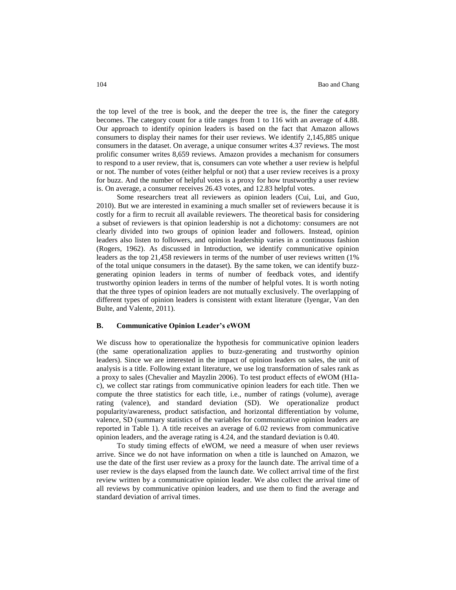the top level of the tree is book, and the deeper the tree is, the finer the category becomes. The category count for a title ranges from 1 to 116 with an average of 4.88. Our approach to identify opinion leaders is based on the fact that Amazon allows consumers to display their names for their user reviews. We identify 2,145,885 unique consumers in the dataset. On average, a unique consumer writes 4.37 reviews. The most prolific consumer writes 8,659 reviews. Amazon provides a mechanism for consumers to respond to a user review, that is, consumers can vote whether a user review is helpful or not. The number of votes (either helpful or not) that a user review receives is a proxy for buzz. And the number of helpful votes is a proxy for how trustworthy a user review is. On average, a consumer receives 26.43 votes, and 12.83 helpful votes.

Some researchers treat all reviewers as opinion leaders (Cui, Lui, and Guo, 2010). But we are interested in examining a much smaller set of reviewers because it is costly for a firm to recruit all available reviewers. The theoretical basis for considering a subset of reviewers is that opinion leadership is not a dichotomy: consumers are not clearly divided into two groups of opinion leader and followers. Instead, opinion leaders also listen to followers, and opinion leadership varies in a continuous fashion (Rogers, 1962). As discussed in Introduction, we identify communicative opinion leaders as the top 21,458 reviewers in terms of the number of user reviews written (1% of the total unique consumers in the dataset). By the same token, we can identify buzzgenerating opinion leaders in terms of number of feedback votes, and identify trustworthy opinion leaders in terms of the number of helpful votes. It is worth noting that the three types of opinion leaders are not mutually exclusively. The overlapping of different types of opinion leaders is consistent with extant literature (Iyengar, Van den Bulte, and Valente, 2011).

## **B. Communicative Opinion Leader's eWOM**

We discuss how to operationalize the hypothesis for communicative opinion leaders (the same operationalization applies to buzz-generating and trustworthy opinion leaders). Since we are interested in the impact of opinion leaders on sales, the unit of analysis is a title. Following extant literature, we use log transformation of sales rank as a proxy to sales (Chevalier and Mayzlin 2006). To test product effects of eWOM (H1ac), we collect star ratings from communicative opinion leaders for each title. Then we compute the three statistics for each title, i.e., number of ratings (volume), average rating (valence), and standard deviation (SD). We operationalize product popularity/awareness, product satisfaction, and horizontal differentiation by volume, valence, SD (summary statistics of the variables for communicative opinion leaders are reported in Table 1). A title receives an average of 6.02 reviews from communicative opinion leaders, and the average rating is 4.24, and the standard deviation is 0.40.

To study timing effects of eWOM, we need a measure of when user reviews arrive. Since we do not have information on when a title is launched on Amazon, we use the date of the first user review as a proxy for the launch date. The arrival time of a user review is the days elapsed from the launch date. We collect arrival time of the first review written by a communicative opinion leader. We also collect the arrival time of all reviews by communicative opinion leaders, and use them to find the average and standard deviation of arrival times.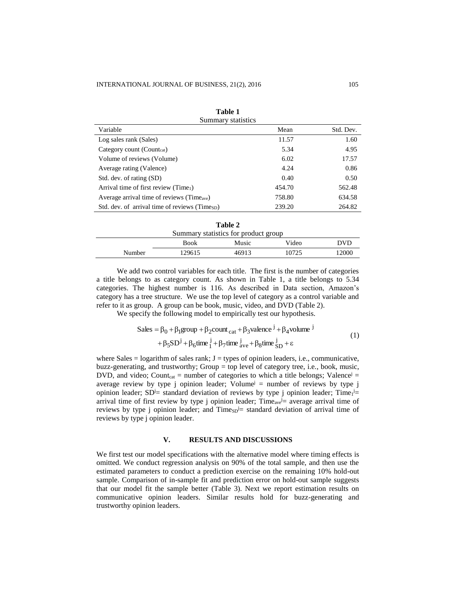| Summary statistics                                         |        |           |  |  |  |
|------------------------------------------------------------|--------|-----------|--|--|--|
| Variable                                                   | Mean   | Std. Dev. |  |  |  |
| Log sales rank (Sales)                                     | 11.57  | 1.60      |  |  |  |
| Category count (Count <sub>cat</sub> )                     | 5.34   | 4.95      |  |  |  |
| Volume of reviews (Volume)                                 | 6.02   | 17.57     |  |  |  |
| Average rating (Valence)                                   | 4.24   | 0.86      |  |  |  |
| Std. dev. of rating (SD)                                   | 0.40   | 0.50      |  |  |  |
| Arrival time of first review (Time <sub>1</sub> )          | 454.70 | 562.48    |  |  |  |
| Average arrival time of reviews (Time <sub>ave</sub> )     | 758.80 | 634.58    |  |  |  |
| Std. dev. of arrival time of reviews (Times <sub>D</sub> ) | 239.20 | 264.82    |  |  |  |

| Table 1            |
|--------------------|
| Summary statistics |

|        |             | Table 2                              |       |            |
|--------|-------------|--------------------------------------|-------|------------|
|        |             | Summary statistics for product group |       |            |
|        | <b>Book</b> | Music                                | Video | <b>DVD</b> |
| Number | 129615      | 46913                                | 10725 | 12000      |

We add two control variables for each title. The first is the number of categories a title belongs to as category count. As shown in Table 1, a title belongs to 5.34 categories. The highest number is 116. As described in Data section, Amazon's category has a tree structure. We use the top level of category as a control variable and refer to it as group. A group can be book, music, video, and DVD (Table 2).

We specify the following model to empirically test our hypothesis.

Sales = 
$$
\beta_0 + \beta_1
$$
group +  $\beta_2$ count<sub>cat</sub> +  $\beta_3$ valence<sup>j</sup> +  $\beta_4$ volume<sup>j</sup>  
+  $\beta_5$ SD<sup>j</sup> +  $\beta_6$ time<sup>j</sup><sub>1</sub> +  $\beta_7$ time<sup>j</sup><sub>ave</sub> +  $\beta_8$ time<sup>j</sup><sub>SD</sub> +  $\varepsilon$  (1)

where Sales  $=$  logarithm of sales rank;  $J =$  types of opinion leaders, i.e., communicative, buzz-generating, and trustworthy; Group = top level of category tree, i.e., book, music, DVD, and video; Count<sub>cat</sub> = number of categories to which a title belongs; Valence<sup>j</sup> = average review by type j opinion leader; Volume<sup>j</sup> = number of reviews by type j opinion leader;  $SD^{j}$  standard deviation of reviews by type j opinion leader; Time<sub>1</sub><sup>j</sup> = arrival time of first review by type j opinion leader; Time<sub>ave</sub>  $\equiv$  average arrival time of reviews by type j opinion leader; and  $Time_{SD} =$  standard deviation of arrival time of reviews by type j opinion leader.

#### **V. RESULTS AND DISCUSSIONS**

We first test our model specifications with the alternative model where timing effects is omitted. We conduct regression analysis on 90% of the total sample, and then use the estimated parameters to conduct a prediction exercise on the remaining 10% hold-out sample. Comparison of in-sample fit and prediction error on hold-out sample suggests that our model fit the sample better (Table 3). Next we report estimation results on communicative opinion leaders. Similar results hold for buzz-generating and trustworthy opinion leaders.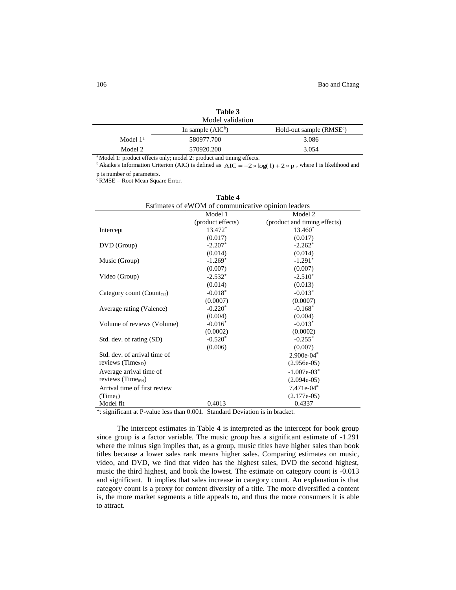|            | Table 3<br>Model validation                                         |                           |
|------------|---------------------------------------------------------------------|---------------------------|
|            | In sample $(AIC^b)$                                                 | Hold-out sample $(RMSEc)$ |
| Model $1a$ | 580977.700                                                          | 3.086                     |
| Model 2    | 570920.200                                                          | 3.054                     |
|            | $33.6 + 1.1 + 1$ , $100 + 1$ , $110 + 1$ , $111 + 11$ , $111 + 111$ |                           |

Model 1: product effects only; model 2: product and timing effects.

<sup>b</sup> Akaike's Information Criterion (AIC) is defined as  $AIC = -2 \times log(1) + 2 \times p$ , where l is likelihood and p is number of parameters.

 $c$  RMSE = Root Mean Square Error.

|                                                      | Table 4                                            |                                  |  |  |
|------------------------------------------------------|----------------------------------------------------|----------------------------------|--|--|
|                                                      | Estimates of eWOM of communicative opinion leaders |                                  |  |  |
|                                                      | Model 1                                            | Model 2                          |  |  |
|                                                      | (product effects)                                  | (product and timing effects)     |  |  |
| Intercept                                            | 13.472*                                            | 13.460*                          |  |  |
|                                                      | (0.017)                                            | (0.017)                          |  |  |
| DVD (Group)                                          | $-2.207*$                                          | $-2.262*$                        |  |  |
|                                                      | (0.014)                                            | (0.014)                          |  |  |
| Music (Group)                                        | $-1.269*$                                          | $-1.291*$                        |  |  |
|                                                      | (0.007)                                            | (0.007)                          |  |  |
| Video (Group)                                        | $-2.532*$                                          | $-2.510*$                        |  |  |
|                                                      | (0.014)                                            | (0.013)                          |  |  |
| Category count (Count <sub>cat</sub> )               | $-0.018*$                                          | $-0.013*$                        |  |  |
|                                                      | (0.0007)                                           | (0.0007)                         |  |  |
| Average rating (Valence)                             | $-0.220*$                                          | $-0.168*$                        |  |  |
|                                                      | (0.004)                                            | (0.004)                          |  |  |
| Volume of reviews (Volume)                           | $-0.016*$                                          | $-0.013*$                        |  |  |
|                                                      | (0.0002)                                           | (0.0002)                         |  |  |
| Std. dev. of rating (SD)                             | $-0.520*$                                          | $-0.255*$                        |  |  |
|                                                      | (0.006)                                            | (0.007)                          |  |  |
| Std. dev. of arrival time of                         |                                                    | 2.900e-04*                       |  |  |
| reviews (Time <sub>SD</sub> )                        |                                                    | $(2.956e-05)$                    |  |  |
| Average arrival time of                              |                                                    | $-1.007e-03*$                    |  |  |
| reviews (Time <sub>ave</sub> )                       |                                                    | $(2.094e-05)$                    |  |  |
| Arrival time of first review                         |                                                    | 7.471e-04*                       |  |  |
| (Time <sub>1</sub> )                                 |                                                    | $(2.177e-05)$                    |  |  |
| Model fit                                            | 0.4013                                             | 0.4337                           |  |  |
| $\frac{1}{2}$ significant at D value loss than 0.001 |                                                    | Standard Davistion is in brasket |  |  |

| m<br>п<br>и |  |
|-------------|--|
|-------------|--|

\*: significant at P-value less than 0.001. Standard Deviation is in bracket.

The intercept estimates in Table 4 is interpreted as the intercept for book group since group is a factor variable. The music group has a significant estimate of -1.291 where the minus sign implies that, as a group, music titles have higher sales than book titles because a lower sales rank means higher sales. Comparing estimates on music, video, and DVD, we find that video has the highest sales, DVD the second highest, music the third highest, and book the lowest. The estimate on category count is -0.013 and significant. It implies that sales increase in category count. An explanation is that category count is a proxy for content diversity of a title. The more diversified a content is, the more market segments a title appeals to, and thus the more consumers it is able to attract.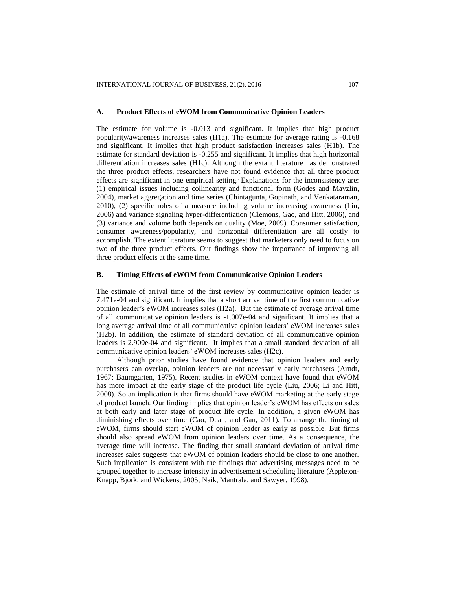#### **A. Product Effects of eWOM from Communicative Opinion Leaders**

The estimate for volume is -0.013 and significant. It implies that high product popularity/awareness increases sales (H1a). The estimate for average rating is -0.168 and significant. It implies that high product satisfaction increases sales (H1b). The estimate for standard deviation is -0.255 and significant. It implies that high horizontal differentiation increases sales (H1c). Although the extant literature has demonstrated the three product effects, researchers have not found evidence that all three product effects are significant in one empirical setting.. Explanations for the inconsistency are: (1) empirical issues including collinearity and functional form (Godes and Mayzlin, 2004), market aggregation and time series (Chintagunta, Gopinath, and Venkataraman, 2010), (2) specific roles of a measure including volume increasing awareness (Liu, 2006) and variance signaling hyper-differentiation (Clemons, Gao, and Hitt, 2006), and (3) variance and volume both depends on quality (Moe, 2009). Consumer satisfaction, consumer awareness/popularity, and horizontal differentiation are all costly to accomplish. The extent literature seems to suggest that marketers only need to focus on two of the three product effects. Our findings show the importance of improving all three product effects at the same time.

# **B. Timing Effects of eWOM from Communicative Opinion Leaders**

The estimate of arrival time of the first review by communicative opinion leader is 7.471e-04 and significant. It implies that a short arrival time of the first communicative opinion leader's eWOM increases sales (H2a). But the estimate of average arrival time of all communicative opinion leaders is -1.007e-04 and significant. It implies that a long average arrival time of all communicative opinion leaders' eWOM increases sales (H2b). In addition, the estimate of standard deviation of all communicative opinion leaders is 2.900e-04 and significant. It implies that a small standard deviation of all communicative opinion leaders' eWOM increases sales (H2c).

Although prior studies have found evidence that opinion leaders and early purchasers can overlap, opinion leaders are not necessarily early purchasers (Arndt, 1967; Baumgarten, 1975). Recent studies in eWOM context have found that eWOM has more impact at the early stage of the product life cycle (Liu, 2006; Li and Hitt, 2008). So an implication is that firms should have eWOM marketing at the early stage of product launch. Our finding implies that opinion leader's eWOM has effects on sales at both early and later stage of product life cycle. In addition, a given eWOM has diminishing effects over time (Cao, Duan, and Gan, 2011). To arrange the timing of eWOM, firms should start eWOM of opinion leader as early as possible. But firms should also spread eWOM from opinion leaders over time. As a consequence, the average time will increase. The finding that small standard deviation of arrival time increases sales suggests that eWOM of opinion leaders should be close to one another. Such implication is consistent with the findings that advertising messages need to be grouped together to increase intensity in advertisement scheduling literature (Appleton-Knapp, Bjork, and Wickens, 2005; Naik, Mantrala, and Sawyer, 1998).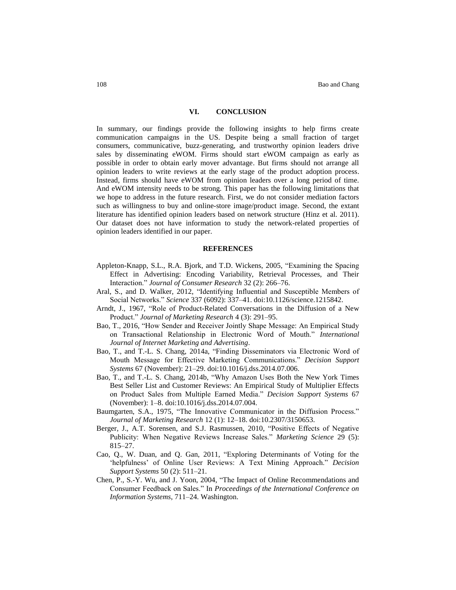# **VI. CONCLUSION**

In summary, our findings provide the following insights to help firms create communication campaigns in the US. Despite being a small fraction of target consumers, communicative, buzz-generating, and trustworthy opinion leaders drive sales by disseminating eWOM. Firms should start eWOM campaign as early as possible in order to obtain early mover advantage. But firms should not arrange all opinion leaders to write reviews at the early stage of the product adoption process. Instead, firms should have eWOM from opinion leaders over a long period of time. And eWOM intensity needs to be strong. This paper has the following limitations that we hope to address in the future research. First, we do not consider mediation factors such as willingness to buy and online-store image/product image. Second, the extant literature has identified opinion leaders based on network structure (Hinz et al. 2011). Our dataset does not have information to study the network-related properties of opinion leaders identified in our paper.

## **REFERENCES**

- Appleton-Knapp, S.L., R.A. Bjork, and T.D. Wickens, 2005, "Examining the Spacing Effect in Advertising: Encoding Variability, Retrieval Processes, and Their Interaction." *Journal of Consumer Research* 32 (2): 266–76.
- Aral, S., and D. Walker, 2012, "Identifying Influential and Susceptible Members of Social Networks." *Science* 337 (6092): 337–41. doi:10.1126/science.1215842.
- Arndt, J., 1967, "Role of Product-Related Conversations in the Diffusion of a New Product." *Journal of Marketing Research* 4 (3): 291–95.
- Bao, T., 2016, "How Sender and Receiver Jointly Shape Message: An Empirical Study on Transactional Relationship in Electronic Word of Mouth." *International Journal of Internet Marketing and Advertising*.
- Bao, T., and T.-L. S. Chang, 2014a, "Finding Disseminators via Electronic Word of Mouth Message for Effective Marketing Communications." *Decision Support Systems* 67 (November): 21–29. doi:10.1016/j.dss.2014.07.006.
- Bao, T., and T.-L. S. Chang, 2014b, "Why Amazon Uses Both the New York Times Best Seller List and Customer Reviews: An Empirical Study of Multiplier Effects on Product Sales from Multiple Earned Media." *Decision Support Systems* 67 (November): 1–8. doi:10.1016/j.dss.2014.07.004.
- Baumgarten, S.A., 1975, "The Innovative Communicator in the Diffusion Process." *Journal of Marketing Research* 12 (1): 12–18. doi:10.2307/3150653.
- Berger, J., A.T. Sorensen, and S.J. Rasmussen, 2010, "Positive Effects of Negative Publicity: When Negative Reviews Increase Sales." *Marketing Science* 29 (5): 815–27.
- Cao, Q., W. Duan, and Q. Gan, 2011, "Exploring Determinants of Voting for the 'helpfulness' of Online User Reviews: A Text Mining Approach." *Decision Support Systems* 50 (2): 511–21.
- Chen, P., S.-Y. Wu, and J. Yoon, 2004, "The Impact of Online Recommendations and Consumer Feedback on Sales." In *Proceedings of the International Conference on Information Systems*, 711–24. Washington.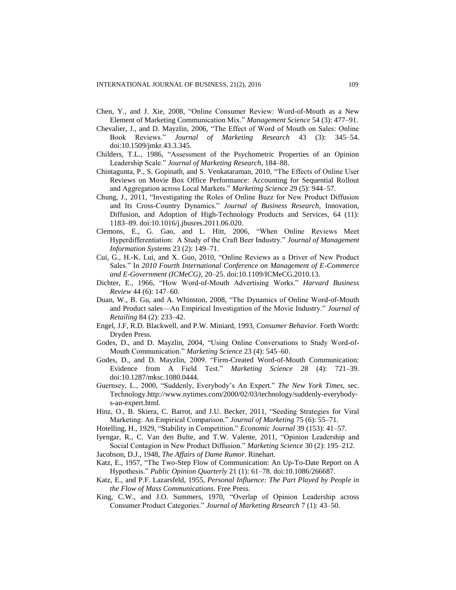- Chen, Y., and J. Xie, 2008, "Online Consumer Review: Word-of-Mouth as a New Element of Marketing Communication Mix." *Management Science* 54 (3): 477–91.
- Chevalier, J., and D. Mayzlin, 2006, "The Effect of Word of Mouth on Sales: Online Book Reviews." *Journal of Marketing Research* 43 (3): 345–54. doi:10.1509/jmkr.43.3.345.
- Childers, T.L., 1986, "Assessment of the Psychometric Properties of an Opinion Leadership Scale." *Journal of Marketing Research*, 184–88.
- Chintagunta, P., S. Gopinath, and S. Venkataraman, 2010, "The Effects of Online User Reviews on Movie Box Office Performance: Accounting for Sequential Rollout and Aggregation across Local Markets." *Marketing Science* 29 (5): 944–57.
- Chung, J., 2011, "Investigating the Roles of Online Buzz for New Product Diffusion and Its Cross-Country Dynamics." *Journal of Business Research*, Innovation, Diffusion, and Adoption of High-Technology Products and Services, 64 (11): 1183–89. doi:10.1016/j.jbusres.2011.06.020.
- Clemons, E., G. Gao, and L. Hitt, 2006, "When Online Reviews Meet Hyperdifferentiation: A Study of the Craft Beer Industry." *Journal of Management Information Systems* 23 (2): 149–71.
- Cui, G., H.-K. Lui, and X. Guo, 2010, "Online Reviews as a Driver of New Product Sales." In *2010 Fourth International Conference on Management of E-Commerce and E-Government (ICMeCG)*, 20–25. doi:10.1109/ICMeCG.2010.13.
- Dichter, E., 1966, "How Word-of-Mouth Advertising Works." *Harvard Business Review* 44 (6): 147–60.
- Duan, W., B. Gu, and A. Whinston, 2008, "The Dynamics of Online Word-of-Mouth and Product sales—An Empirical Investigation of the Movie Industry." *Journal of Retailing* 84 (2): 233–42.
- Engel, J.F, R.D. Blackwell, and P.W. Miniard, 1993, *Consumer Behavior*. Forth Worth: Dryden Press.
- Godes, D., and D. Mayzlin, 2004, "Using Online Conversations to Study Word-of-Mouth Communication." *Marketing Science* 23 (4): 545–60.
- Godes, D., and D. Mayzlin, 2009. "Firm-Created Word-of-Mouth Communication: Evidence from A Field Test." *Marketing Science* 28 (4): 721–39. doi:10.1287/mksc.1080.0444.
- Guernsey, L., 2000, "Suddenly, Everybody's An Expert." *The New York Times*, sec. Technology.http://www.nytimes.com/2000/02/03/technology/suddenly-everybodys-an-expert.html.
- Hinz, O., B. Skiera, C. Barrot, and J.U. Becker, 2011, "Seeding Strategies for Viral Marketing: An Empirical Comparison." *Journal of Marketing* 75 (6): 55–71.
- Hotelling, H., 1929, "Stability in Competition." *Economic Journal* 39 (153): 41–57.
- Iyengar, R., C. Van den Bulte, and T.W. Valente, 2011, "Opinion Leadership and Social Contagion in New Product Diffusion." *Marketing Science* 30 (2): 195–212.
- Jacobson, D.J., 1948, *The Affairs of Dame Rumor*. Rinehart.
- Katz, E., 1957, "The Two-Step Flow of Communication: An Up-To-Date Report on A Hypothesis." *Public Opinion Quarterly* 21 (1): 61–78. doi:10.1086/266687.
- Katz, E., and P.F. Lazarsfeld, 1955, *Personal Influence: The Part Played by People in the Flow of Mass Communications*. Free Press.
- King, C.W., and J.O. Summers, 1970, "Overlap of Opinion Leadership across Consumer Product Categories." *Journal of Marketing Research* 7 (1): 43–50.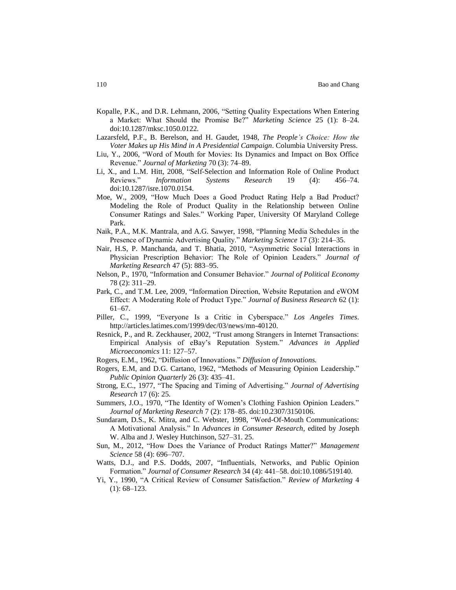- Kopalle, P.K., and D.R. Lehmann, 2006, "Setting Quality Expectations When Entering a Market: What Should the Promise Be?" *Marketing Science* 25 (1): 8–24. doi:10.1287/mksc.1050.0122.
- Lazarsfeld, P.F., B. Berelson, and H. Gaudet, 1948, *The People's Choice: How the Voter Makes up His Mind in A Presidential Campaign*. Columbia University Press.
- Liu, Y., 2006, "Word of Mouth for Movies: Its Dynamics and Impact on Box Office Revenue." *Journal of Marketing* 70 (3): 74–89.
- Li, X., and L.M. Hitt, 2008, "Self-Selection and Information Role of Online Product Reviews." *Information Systems Research* 19 (4): 456–74. doi:10.1287/isre.1070.0154.
- Moe, W., 2009, "How Much Does a Good Product Rating Help a Bad Product? Modeling the Role of Product Quality in the Relationship between Online Consumer Ratings and Sales." Working Paper, University Of Maryland College Park.
- Naik, P.A., M.K. Mantrala, and A.G. Sawyer, 1998, "Planning Media Schedules in the Presence of Dynamic Advertising Quality." *Marketing Science* 17 (3): 214–35.
- Nair, H.S, P. Manchanda, and T. Bhatia, 2010, "Asymmetric Social Interactions in Physician Prescription Behavior: The Role of Opinion Leaders." *Journal of Marketing Research* 47 (5): 883–95.
- Nelson, P., 1970, "Information and Consumer Behavior." *Journal of Political Economy* 78 (2): 311–29.
- Park, C., and T.M. Lee, 2009, "Information Direction, Website Reputation and eWOM Effect: A Moderating Role of Product Type." *Journal of Business Research* 62 (1): 61–67.
- Piller, C., 1999, "Everyone Is a Critic in Cyberspace." *Los Angeles Times*. http://articles.latimes.com/1999/dec/03/news/mn-40120.
- Resnick, P., and R. Zeckhauser, 2002, "Trust among Strangers in Internet Transactions: Empirical Analysis of eBay's Reputation System." *Advances in Applied Microeconomics* 11: 127–57.
- Rogers, E.M., 1962, "Diffusion of Innovations." *Diffusion of Innovations.*
- Rogers, E.M, and D.G. Cartano, 1962, "Methods of Measuring Opinion Leadership." *Public Opinion Quarterly* 26 (3): 435–41.
- Strong, E.C., 1977, "The Spacing and Timing of Advertising." *Journal of Advertising Research* 17 (6): 25.
- Summers, J.O., 1970, "The Identity of Women's Clothing Fashion Opinion Leaders." *Journal of Marketing Research* 7 (2): 178–85. doi:10.2307/3150106.
- Sundaram, D.S., K. Mitra, and C. Webster, 1998, "Word-Of-Mouth Communications: A Motivational Analysis." In *Advances in Consumer Research*, edited by Joseph W. Alba and J. Wesley Hutchinson, 527–31. 25.
- Sun, M., 2012, "How Does the Variance of Product Ratings Matter?" *Management Science* 58 (4): 696–707.
- Watts, D.J., and P.S. Dodds, 2007, "Influentials, Networks, and Public Opinion Formation." *Journal of Consumer Research* 34 (4): 441–58. doi:10.1086/519140.
- Yi, Y., 1990, "A Critical Review of Consumer Satisfaction." *Review of Marketing* 4  $(1): 68-123.$